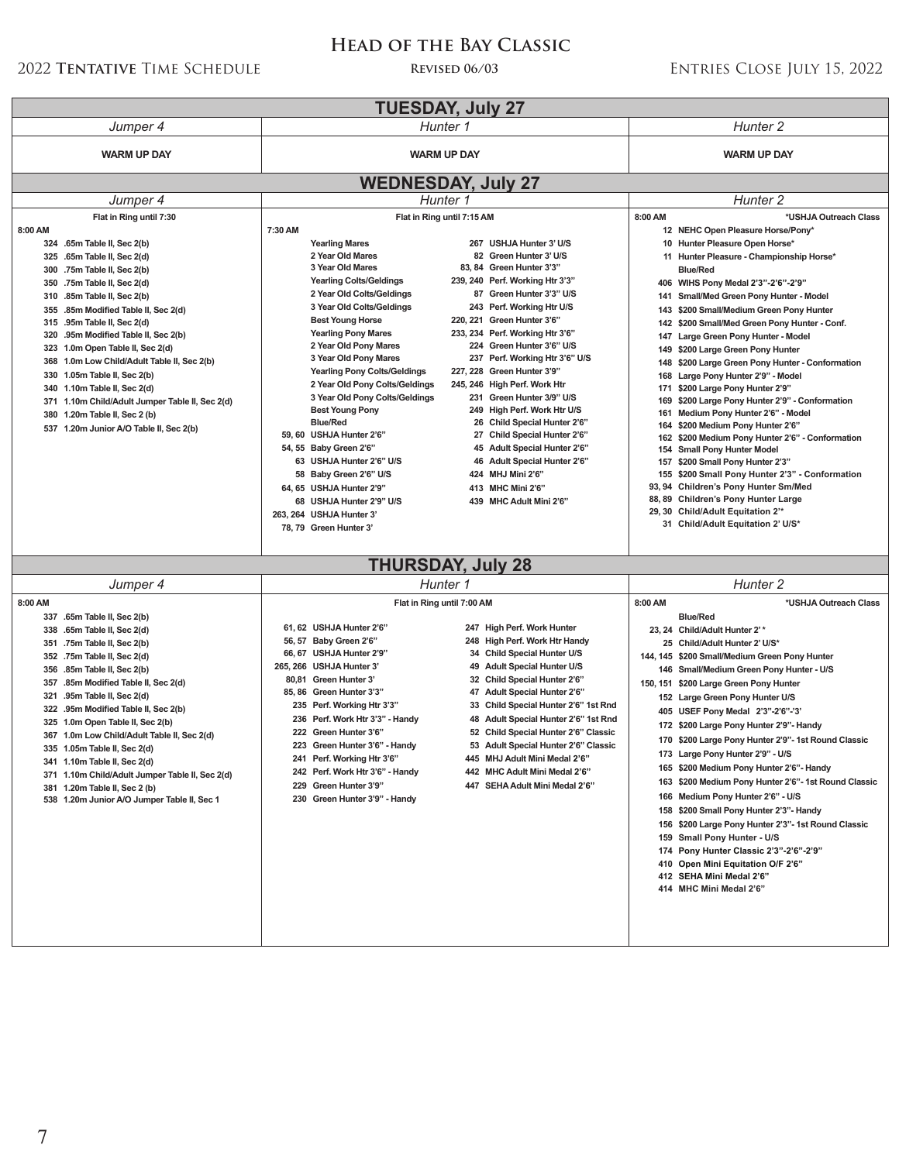# **Tentative** Time Schedule **Revised 06/03** Entries Close July 15, 2022

# **Head of the Bay Classic**

| <b>TUESDAY, July 27</b>                                                                                                                                                                                                                                                                                                                                                                                                                                                                                                                                                                                                            |                                                                                                                                                                                                                                                                                                                                                                                                                                                                                                                                                                                                                                                                                                                                                                                                                                                                                                                                                                                                                                                                                                                                                                                                                                                                                                                                                                   |                                                                                                                                                                                                                                                                                                                                                                                                                                                                                                                                                                                                                                                                                                                                                                                                                                                                                                                                                                                                                                                                                                     |
|------------------------------------------------------------------------------------------------------------------------------------------------------------------------------------------------------------------------------------------------------------------------------------------------------------------------------------------------------------------------------------------------------------------------------------------------------------------------------------------------------------------------------------------------------------------------------------------------------------------------------------|-------------------------------------------------------------------------------------------------------------------------------------------------------------------------------------------------------------------------------------------------------------------------------------------------------------------------------------------------------------------------------------------------------------------------------------------------------------------------------------------------------------------------------------------------------------------------------------------------------------------------------------------------------------------------------------------------------------------------------------------------------------------------------------------------------------------------------------------------------------------------------------------------------------------------------------------------------------------------------------------------------------------------------------------------------------------------------------------------------------------------------------------------------------------------------------------------------------------------------------------------------------------------------------------------------------------------------------------------------------------|-----------------------------------------------------------------------------------------------------------------------------------------------------------------------------------------------------------------------------------------------------------------------------------------------------------------------------------------------------------------------------------------------------------------------------------------------------------------------------------------------------------------------------------------------------------------------------------------------------------------------------------------------------------------------------------------------------------------------------------------------------------------------------------------------------------------------------------------------------------------------------------------------------------------------------------------------------------------------------------------------------------------------------------------------------------------------------------------------------|
| Jumper 4                                                                                                                                                                                                                                                                                                                                                                                                                                                                                                                                                                                                                           | Hunter 1                                                                                                                                                                                                                                                                                                                                                                                                                                                                                                                                                                                                                                                                                                                                                                                                                                                                                                                                                                                                                                                                                                                                                                                                                                                                                                                                                          | Hunter 2                                                                                                                                                                                                                                                                                                                                                                                                                                                                                                                                                                                                                                                                                                                                                                                                                                                                                                                                                                                                                                                                                            |
| <b>WARM UP DAY</b>                                                                                                                                                                                                                                                                                                                                                                                                                                                                                                                                                                                                                 | <b>WARM UP DAY</b>                                                                                                                                                                                                                                                                                                                                                                                                                                                                                                                                                                                                                                                                                                                                                                                                                                                                                                                                                                                                                                                                                                                                                                                                                                                                                                                                                | <b>WARM UP DAY</b>                                                                                                                                                                                                                                                                                                                                                                                                                                                                                                                                                                                                                                                                                                                                                                                                                                                                                                                                                                                                                                                                                  |
| <b>WEDNESDAY, July 27</b>                                                                                                                                                                                                                                                                                                                                                                                                                                                                                                                                                                                                          |                                                                                                                                                                                                                                                                                                                                                                                                                                                                                                                                                                                                                                                                                                                                                                                                                                                                                                                                                                                                                                                                                                                                                                                                                                                                                                                                                                   |                                                                                                                                                                                                                                                                                                                                                                                                                                                                                                                                                                                                                                                                                                                                                                                                                                                                                                                                                                                                                                                                                                     |
| Jumper 4                                                                                                                                                                                                                                                                                                                                                                                                                                                                                                                                                                                                                           | Hunter 1                                                                                                                                                                                                                                                                                                                                                                                                                                                                                                                                                                                                                                                                                                                                                                                                                                                                                                                                                                                                                                                                                                                                                                                                                                                                                                                                                          | Hunter <sub>2</sub>                                                                                                                                                                                                                                                                                                                                                                                                                                                                                                                                                                                                                                                                                                                                                                                                                                                                                                                                                                                                                                                                                 |
| Flat in Ring until 7:30<br>8:00 AM<br>324 .65m Table II, Sec 2(b)<br>.65m Table II, Sec 2(d)<br>325<br>.75m Table II, Sec 2(b)<br>300<br>.75m Table II, Sec 2(d)<br>350<br>.85m Table II, Sec 2(b)<br>310<br>.85m Modified Table II, Sec 2(d)<br>355<br>.95m Table II, Sec 2(d)<br>315<br>320<br>.95m Modified Table II, Sec 2(b)<br>1.0m Open Table II, Sec 2(d)<br>323<br>1.0m Low Child/Adult Table II, Sec 2(b)<br>368<br>1.05m Table II, Sec 2(b)<br>330<br>1.10m Table II, Sec 2(d)<br>340<br>371 1.10m Child/Adult Jumper Table II, Sec 2(d)<br>1.20m Table II, Sec 2 (b)<br>380<br>537 1.20m Junior A/O Table II, Sec 2(b) | Flat in Ring until 7:15 AM<br>7:30 AM<br><b>Yearling Mares</b><br>267 USHJA Hunter 3' U/S<br>2 Year Old Mares<br>82 Green Hunter 3' U/S<br>3 Year Old Mares<br>83, 84 Green Hunter 3'3"<br><b>Yearling Colts/Geldings</b><br>239, 240 Perf. Working Htr 3'3"<br>2 Year Old Colts/Geldings<br>87 Green Hunter 3'3" U/S<br>3 Year Old Colts/Geldings<br>243 Perf. Working Htr U/S<br><b>Best Young Horse</b><br>220, 221 Green Hunter 3'6"<br>233, 234 Perf. Working Htr 3'6"<br><b>Yearling Pony Mares</b><br>2 Year Old Pony Mares<br>224 Green Hunter 3'6" U/S<br>237 Perf. Working Htr 3'6" U/S<br>3 Year Old Pony Mares<br>Green Hunter 3'9"<br><b>Yearling Pony Colts/Geldings</b><br>227, 228<br>2 Year Old Pony Colts/Geldings<br>245, 246 High Perf. Work Htr<br>3 Year Old Pony Colts/Geldings<br>231<br>Green Hunter 3/9" U/S<br><b>Best Young Pony</b><br>249<br>High Perf. Work Htr U/S<br><b>Blue/Red</b><br>Child Special Hunter 2'6"<br>26<br>59, 60 USHJA Hunter 2'6"<br>27 Child Special Hunter 2'6"<br>54, 55 Baby Green 2'6"<br><b>Adult Special Hunter 2'6"</b><br>45<br>63 USHJA Hunter 2'6" U/S<br>46 Adult Special Hunter 2'6"<br>58 Baby Green 2'6" U/S<br>424 MHJ Mini 2'6"<br>413 MHC Mini 2'6"<br>64, 65 USHJA Hunter 2'9"<br>68 USHJA Hunter 2'9" U/S<br>439 MHC Adult Mini 2'6"<br>263, 264 USHJA Hunter 3'<br>78, 79 Green Hunter 3' | 8:00 AM<br>*USHJA Outreach Class<br>12 NEHC Open Pleasure Horse/Pony*<br>10 Hunter Pleasure Open Horse*<br>Hunter Pleasure - Championship Horse*<br>11<br><b>Blue/Red</b><br>406 WIHS Pony Medal 2'3" 2'6" 2'9"<br>Small/Med Green Pony Hunter - Model<br>141<br>\$200 Small/Medium Green Pony Hunter<br>143<br>\$200 Small/Med Green Pony Hunter - Conf.<br>142<br>Large Green Pony Hunter - Model<br>147<br>\$200 Large Green Pony Hunter<br>149<br>\$200 Large Green Pony Hunter - Conformation<br>148<br>Large Pony Hunter 2'9" - Model<br>168<br>171<br>\$200 Large Pony Hunter 2'9"<br>\$200 Large Pony Hunter 2'9" - Conformation<br>169<br>Medium Pony Hunter 2'6" - Model<br>161<br>\$200 Medium Pony Hunter 2'6"<br>164<br>\$200 Medium Pony Hunter 2'6" - Conformation<br>162<br><b>Small Pony Hunter Model</b><br>154<br>\$200 Small Pony Hunter 2'3"<br>157<br>\$200 Small Pony Hunter 2'3" - Conformation<br>155<br>93, 94 Children's Pony Hunter Sm/Med<br>88, 89 Children's Pony Hunter Large<br>29, 30 Child/Adult Equitation 2 <sup>**</sup><br>31 Child/Adult Equitation 2' U/S* |
| <b>THURSDAY, July 28</b>                                                                                                                                                                                                                                                                                                                                                                                                                                                                                                                                                                                                           |                                                                                                                                                                                                                                                                                                                                                                                                                                                                                                                                                                                                                                                                                                                                                                                                                                                                                                                                                                                                                                                                                                                                                                                                                                                                                                                                                                   |                                                                                                                                                                                                                                                                                                                                                                                                                                                                                                                                                                                                                                                                                                                                                                                                                                                                                                                                                                                                                                                                                                     |
| Jumper 4                                                                                                                                                                                                                                                                                                                                                                                                                                                                                                                                                                                                                           | Hunter 1                                                                                                                                                                                                                                                                                                                                                                                                                                                                                                                                                                                                                                                                                                                                                                                                                                                                                                                                                                                                                                                                                                                                                                                                                                                                                                                                                          | Hunter 2                                                                                                                                                                                                                                                                                                                                                                                                                                                                                                                                                                                                                                                                                                                                                                                                                                                                                                                                                                                                                                                                                            |
| 8:00 AM<br>337 .65m Table II, Sec 2(b)<br>.65m Table II, Sec 2(d)<br>338<br>.75m Table II, Sec 2(b)<br>351<br>352 .75m Table II, Sec 2(d)<br>356<br>.85m Table II, Sec 2(b)<br>.85m Modified Table II, Sec 2(d)<br>357<br>.95m Table II, Sec 2(d)<br>321<br>322 .95m Modified Table II, Sec 2(b)<br>1.0m Open Table II, Sec 2(b)<br>325<br>367<br>1.0m Low Child/Adult Table II, Sec 2(d)<br>335 1.05m Table II, Sec 2(d)<br>341 1.10m Table II, Sec 2(d)<br>371 1.10m Child/Adult Jumper Table II, Sec 2(d)<br>381 1.20m Table II, Sec 2 (b)<br>538 1.20m Junior A/O Jumper Table II, Sec 1                                       | Flat in Ring until 7:00 AM<br>61, 62 USHJA Hunter 2'6"<br>247 High Perf. Work Hunter<br>56, 57 Baby Green 2'6"<br>248 High Perf. Work Htr Handy<br>66, 67 USHJA Hunter 2'9"<br>34 Child Special Hunter U/S<br>265, 266 USHJA Hunter 3'<br>49 Adult Special Hunter U/S<br>80,81 Green Hunter 3'<br>32 Child Special Hunter 2'6"<br>85, 86 Green Hunter 3'3"<br>47 Adult Special Hunter 2'6"<br>235 Perf. Working Htr 3'3"<br>33 Child Special Hunter 2'6" 1st Rnd<br>236 Perf. Work Htr 3'3" - Handy<br>48 Adult Special Hunter 2'6" 1st Rnd<br>222 Green Hunter 3'6"<br>52 Child Special Hunter 2'6" Classic<br>223 Green Hunter 3'6" - Handy<br>53 Adult Special Hunter 2'6" Classic<br>241 Pert. Working Htr 3'6'<br>445 MHJ Adult Mini Medal 2'6'<br>242 Perf. Work Htr 3'6" - Handy<br>442 MHC Adult Mini Medal 2'6"<br>229 Green Hunter 3'9"<br>447 SEHA Adult Mini Medal 2'6"<br>230 Green Hunter 3'9" - Handy                                                                                                                                                                                                                                                                                                                                                                                                                                              | 8:00 AM<br>*USHJA Outreach Class<br><b>Blue/Red</b><br>23, 24 Child/Adult Hunter 2'*<br>25 Child/Adult Hunter 2' U/S*<br>144, 145 \$200 Small/Medium Green Pony Hunter<br>146 Small/Medium Green Pony Hunter - U/S<br>150, 151 \$200 Large Green Pony Hunter<br>152 Large Green Pony Hunter U/S<br>405 USEF Pony Medal 2'3"-2'6"-'3'<br>172 \$200 Large Pony Hunter 2'9"- Handy<br>170 \$200 Large Pony Hunter 2'9"- 1st Round Classic<br>173 Large Pony Hunter 2'9" - U/S<br>165 \$200 Medium Pony Hunter 2'6"- Handy<br>163 \$200 Medium Pony Hunter 2'6"- 1st Round Classic<br>166 Medium Pony Hunter 2'6" - U/S<br>158 \$200 Small Pony Hunter 2'3" Handy<br>156 \$200 Large Pony Hunter 2'3"- 1st Round Classic<br>159 Small Pony Hunter - U/S<br>174 Pony Hunter Classic 2'3" 2'6" 2'9"<br>410 Open Mini Equitation O/F 2'6"<br>412 SEHA Mini Medal 2'6"<br>414 MHC Mini Medal 2'6"                                                                                                                                                                                                           |